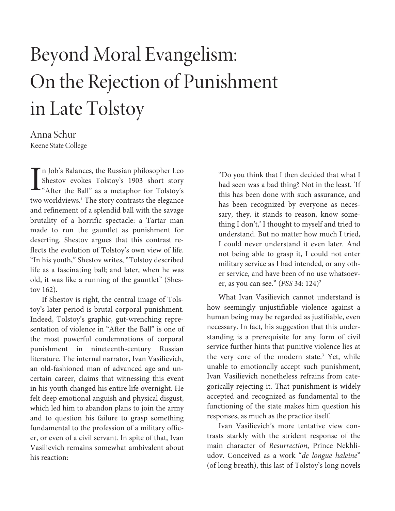# Beyond Moral Evangelism: On the Rejection of Punishment in Late Tolstoy

Anna Schur Keene State College

n Job's Balances, the Russian philosopher Leo Shestov evokes Tolstoy's 1903 short story I'm Job's Balances, the Russian philosopher Leo<br>Shestov evokes Tolstoy's 1903 short story<br>"After the Ball" as a metaphor for Tolstoy's two worldviews.<sup>1</sup> The story contrasts the elegance and refinement of a splendid ball with the savage brutality of a horrific spectacle: a Tartar man made to run the gauntlet as punishment for deserting. Shestov argues that this contrast reflects the evolution of Tolstoy's own view of life. "In his youth," Shestov writes, "Tolstoy described life as a fascinating ball; and later, when he was old, it was like a running of the gauntlet" (Shestov 162).

If Shestov is right, the central image of Tolstoy's later period is brutal corporal punishment. Indeed, Tolstoy's graphic, gut-wrenching representation of violence in "After the Ball" is one of the most powerful condemnations of corporal punishment in nineteenth-century Russian literature. The internal narrator, Ivan Vasilievich, an old-fashioned man of advanced age and uncertain career, claims that witnessing this event in his youth changed his entire life overnight. He felt deep emotional anguish and physical disgust, which led him to abandon plans to join the army and to question his failure to grasp something fundamental to the profession of a military officer, or even of a civil servant. In spite of that, Ivan Vasilievich remains somewhat ambivalent about his reaction:

"Do you think that I then decided that what I had seen was a bad thing? Not in the least. 'If this has been done with such assurance, and has been recognized by everyone as necessary, they, it stands to reason, know something I don't,' I thought to myself and tried to understand. But no matter how much I tried, I could never understand it even later. And not being able to grasp it, I could not enter military service as I had intended, or any other service, and have been of no use whatsoever, as you can see."  $($ *PSS* 34: 124 $)^2$ 

What Ivan Vasilievich cannot understand is how seemingly unjustifiable violence against a human being may be regarded as justifiable, even necessary. In fact, his suggestion that this understanding is a prerequisite for any form of civil service further hints that punitive violence lies at the very core of the modern state.<sup>3</sup> Yet, while unable to emotionally accept such punishment, Ivan Vasilievich nonetheless refrains from categorically rejecting it. That punishment is widely accepted and recognized as fundamental to the functioning of the state makes him question his responses, as much as the practice itself.

Ivan Vasilievich's more tentative view contrasts starkly with the strident response of the main character of Resurrection, Prince Nekhliudov. Conceived as a work "de longue haleine" (of long breath), this last of Tolstoy's long novels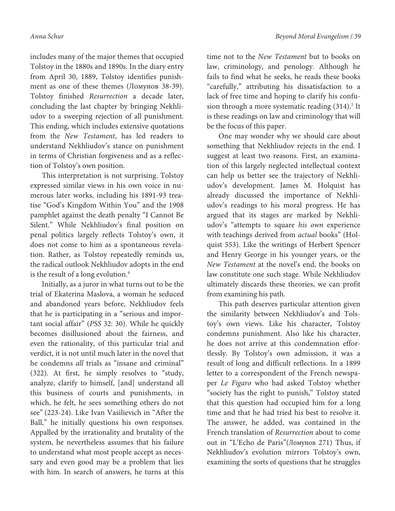includes many of the major themes that occupied Tolstoy in the 1880s and 1890s. In the diary entry from April 30, 1889, Tolstoy identifies punishment as one of these themes (Ломунов 38-39). Tolstoy finished Resurrection a decade later, concluding the last chapter by bringing Nekhliudov to a sweeping rejection of all punishment. This ending, which includes extensive quotations from the New Testament, has led readers to understand Nekhliudov's stance on punishment in terms of Christian forgiveness and as a reflection of Tolstoy's own position.

This interpretation is not surprising. Tolstoy expressed similar views in his own voice in numerous later works, including his 1891-93 treatise "God's Kingdom Within You" and the 1908 pamphlet against the death penalty "I Cannot Be Silent." While Nekhliudov's final position on penal politics largely reflects Tolstoy's own, it does not come to him as a spontaneous revelation. Rather, as Tolstoy repeatedly reminds us, the radical outlook Nekhliudov adopts in the end is the result of a long evolution.<sup>4</sup>

Initially, as a juror in what turns out to be the trial of Ekaterina Maslova, a woman he seduced and abandoned years before, Nekhliudov feels that he is participating in a "serious and important social affair" (PSS 32: 30). While he quickly becomes disillusioned about the fairness, and even the rationality, of this particular trial and verdict, it is not until much later in the novel that he condemns all trials as "insane and criminal" (322). At first, he simply resolves to "study, analyze, clarify to himself, [and] understand all this business of courts and punishments, in which, he felt, he sees something others do not see" (223-24). Like Ivan Vasilievich in "After the Ball," he initially questions his own responses. Appalled by the irrationality and brutality of the system, he nevertheless assumes that his failure to understand what most people accept as necessary and even good may be a problem that lies with him. In search of answers, he turns at this

time not to the New Testament but to books on law, criminology, and penology. Although he fails to find what he seeks, he reads these books "carefully," attributing his dissatisfaction to a lack of free time and hoping to clarify his confusion through a more systematic reading (314).<sup>5</sup> It is these readings on law and criminology that will be the focus of this paper.

One may wonder why we should care about something that Nekhliudov rejects in the end. I suggest at least two reasons. First, an examination of this largely neglected intellectual context can help us better see the trajectory of Nekhliudov's development. James M. Holquist has already discussed the importance of Nekhliudov's readings to his moral progress. He has argued that its stages are marked by Nekhliudov's "attempts to square his own experience with teachings derived from actual books" (Holquist 553). Like the writings of Herbert Spencer and Henry George in his younger years, or the New Testament at the novel's end, the books on law constitute one such stage. While Nekhliudov ultimately discards these theories, we can profit from examining his path.

This path deserves particular attention given the similarity between Nekhliudov's and Tolstoy's own views. Like his character, Tolstoy condemns punishment. Also like his character, he does not arrive at this condemnation effortlessly. By Tolstoy's own admission, it was a result of long and difficult reflections. In a 1899 letter to a correspondent of the French newspaper Le Figaro who had asked Tolstoy whether "society has the right to punish," Tolstoy stated that this question had occupied him for a long time and that he had tried his best to resolve it. The answer, he added, was contained in the French translation of Resurrection about to come out in "L'Echo de Paris"(Ломунов 271) Thus, if Nekhliudov's evolution mirrors Tolstoy's own, examining the sorts of questions that he struggles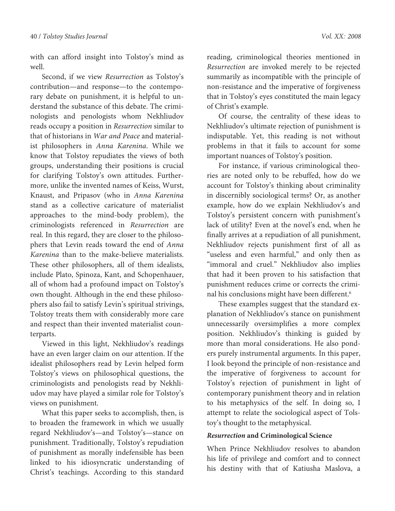with can afford insight into Tolstoy's mind as well.

Second, if we view Resurrection as Tolstoy's contribution—and response—to the contemporary debate on punishment, it is helpful to understand the substance of this debate. The criminologists and penologists whom Nekhliudov reads occupy a position in Resurrection similar to that of historians in War and Peace and materialist philosophers in Anna Karenina. While we know that Tolstoy repudiates the views of both groups, understanding their positions is crucial for clarifying Tolstoy's own attitudes. Furthermore, unlike the invented names of Keiss, Wurst, Knaust, and Pripasov (who in Anna Karenina stand as a collective caricature of materialist approaches to the mind-body problem), the criminologists referenced in Resurrection are real. In this regard, they are closer to the philosophers that Levin reads toward the end of Anna Karenina than to the make-believe materialists. These other philosophers, all of them idealists, include Plato, Spinoza, Kant, and Schopenhauer, all of whom had a profound impact on Tolstoy's own thought. Although in the end these philosophers also fail to satisfy Levin's spiritual strivings, Tolstoy treats them with considerably more care and respect than their invented materialist counterparts.

Viewed in this light, Nekhliudov's readings have an even larger claim on our attention. If the idealist philosophers read by Levin helped form Tolstoy's views on philosophical questions, the criminologists and penologists read by Nekhliudov may have played a similar role for Tolstoy's views on punishment.

What this paper seeks to accomplish, then, is to broaden the framework in which we usually regard Nekhliudov's—and Tolstoy's—stance on punishment. Traditionally, Tolstoy's repudiation of punishment as morally indefensible has been linked to his idiosyncratic understanding of Christ's teachings. According to this standard

reading, criminological theories mentioned in Resurrection are invoked merely to be rejected summarily as incompatible with the principle of non-resistance and the imperative of forgiveness that in Tolstoy's eyes constituted the main legacy of Christ's example.

Of course, the centrality of these ideas to Nekhliudov's ultimate rejection of punishment is indisputable. Yet, this reading is not without problems in that it fails to account for some important nuances of Tolstoy's position.

For instance, if various criminological theories are noted only to be rebuffed, how do we account for Tolstoy's thinking about criminality in discernibly sociological terms? Or, as another example, how do we explain Nekhliudov's and Tolstoy's persistent concern with punishment's lack of utility? Even at the novel's end, when he finally arrives at a repudiation of all punishment, Nekhliudov rejects punishment first of all as "useless and even harmful," and only then as "immoral and cruel." Nekhliudov also implies that had it been proven to his satisfaction that punishment reduces crime or corrects the criminal his conclusions might have been different.<sup>6</sup>

These examples suggest that the standard explanation of Nekhliudov's stance on punishment unnecessarily oversimplifies a more complex position. Nekhliudov's thinking is guided by more than moral considerations. He also ponders purely instrumental arguments. In this paper, I look beyond the principle of non-resistance and the imperative of forgiveness to account for Tolstoy's rejection of punishment in light of contemporary punishment theory and in relation to his metaphysics of the self. In doing so, I attempt to relate the sociological aspect of Tolstoy's thought to the metaphysical.

### **Resurrection and Criminological Science**

When Prince Nekhliudov resolves to abandon his life of privilege and comfort and to connect his destiny with that of Katiusha Maslova, a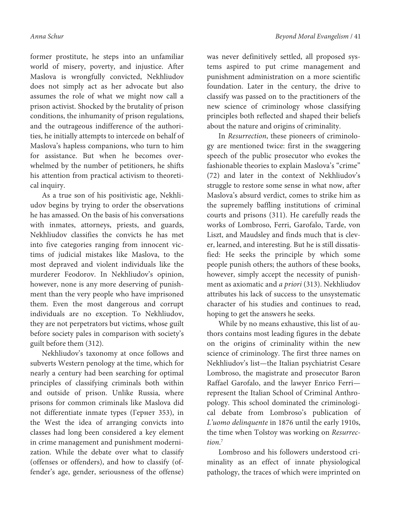former prostitute, he steps into an unfamiliar world of misery, poverty, and injustice. After Maslova is wrongfully convicted, Nekhliudov does not simply act as her advocate but also assumes the role of what we might now call a prison activist. Shocked by the brutality of prison conditions, the inhumanity of prison regulations, and the outrageous indifference of the authorities, he initially attempts to intercede on behalf of Maslova's hapless companions, who turn to him for assistance. But when he becomes overwhelmed by the number of petitioners, he shifts his attention from practical activism to theoretical inquiry.

As a true son of his positivistic age, Nekhliudov begins by trying to order the observations he has amassed. On the basis of his conversations with inmates, attorneys, priests, and guards, Nekhliudov classifies the convicts he has met into five categories ranging from innocent victims of judicial mistakes like Maslova, to the most depraved and violent individuals like the murderer Feodorov. In Nekhliudov's opinion, however, none is any more deserving of punishment than the very people who have imprisoned them. Even the most dangerous and corrupt individuals are no exception. To Nekhliudov, they are not perpetrators but victims, whose guilt before society pales in comparison with society's guilt before them (312).

Nekhliudov's taxonomy at once follows and subverts Western penology at the time, which for nearly a century had been searching for optimal principles of classifying criminals both within and outside of prison. Unlike Russia, where prisons for common criminals like Maslova did not differentiate inmate types (Гернет 353), in the West the idea of arranging convicts into classes had long been considered a key element in crime management and punishment modernization. While the debate over what to classify (offenses or offenders), and how to classify (offender's age, gender, seriousness of the offense)

was never definitively settled, all proposed systems aspired to put crime management and punishment administration on a more scientific foundation. Later in the century, the drive to classify was passed on to the practitioners of the new science of criminology whose classifying principles both reflected and shaped their beliefs about the nature and origins of criminality.

In Resurrection, these pioneers of criminology are mentioned twice: first in the swaggering speech of the public prosecutor who evokes the fashionable theories to explain Maslova's "crime" (72) and later in the context of Nekhliudov's struggle to restore some sense in what now, after Maslova's absurd verdict, comes to strike him as the supremely baffling institutions of criminal courts and prisons (311). He carefully reads the works of Lombroso, Ferri, Garofalo, Tarde, von Liszt, and Maudsley and finds much that is clever, learned, and interesting. But he is still dissatisfied: He seeks the principle by which some people punish others; the authors of these books, however, simply accept the necessity of punishment as axiomatic and a priori (313). Nekhliudov attributes his lack of success to the unsystematic character of his studies and continues to read, hoping to get the answers he seeks.

While by no means exhaustive, this list of authors contains most leading figures in the debate on the origins of criminality within the new science of criminology. The first three names on Nekhliudov's list—the Italian psychiatrist Cesare Lombroso, the magistrate and prosecutor Baron Raffael Garofalo, and the lawyer Enrico Ferri represent the Italian School of Criminal Anthropology. This school dominated the criminological debate from Lombroso's publication of L'uomo delinquente in 1876 until the early 1910s, the time when Tolstoy was working on Resurrection. 7

Lombroso and his followers understood criminality as an effect of innate physiological pathology, the traces of which were imprinted on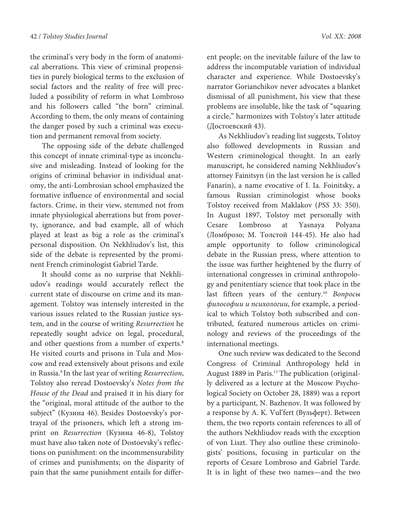the criminal's very body in the form of anatomical aberrations. This view of criminal propensities in purely biological terms to the exclusion of social factors and the reality of free will precluded a possibility of reform in what Lombroso and his followers called "the born" criminal. According to them, the only means of containing the danger posed by such a criminal was execution and permanent removal from society.

The opposing side of the debate challenged this concept of innate criminal-type as inconclusive and misleading. Instead of looking for the origins of criminal behavior in individual anatomy, the anti-Lombrosian school emphasized the formative influence of environmental and social factors. Crime, in their view, stemmed not from innate physiological aberrations but from poverty, ignorance, and bad example, all of which played at least as big a role as the criminal's personal disposition. On Nekhliudov's list, this side of the debate is represented by the prominent French criminologist Gabriel Tarde.

It should come as no surprise that Nekhliudov's readings would accurately reflect the current state of discourse on crime and its management. Tolstoy was intensely interested in the various issues related to the Russian justice system, and in the course of writing Resurrection he repeatedly sought advice on legal, procedural, and other questions from a number of experts.<sup>8</sup> He visited courts and prisons in Tula and Moscow and read extensively about prisons and exile in Russia.<sup>9</sup> In the last year of writing Resurrection, Tolstoy also reread Dostoevsky's Notes from the House of the Dead and praised it in his diary for the "original, moral attitude of the author to the subject" (Кузина 46). Besides Dostoevsky's portrayal of the prisoners, which left a strong imprint on Resurrection (Кузина 46-8), Tolstoy must have also taken note of Dostoevsky's reflections on punishment: on the incommensurability of crimes and punishments; on the disparity of pain that the same punishment entails for differ-

ent people; on the inevitable failure of the law to address the incomputable variation of individual character and experience. While Dostoevsky's narrator Gorianchikov never advocates a blanket dismissal of all punishment, his view that these problems are insoluble, like the task of "squaring a circle," harmonizes with Tolstoy's later attitude (Достоевский 43).

As Nekhliudov's reading list suggests, Tolstoy also followed developments in Russian and Western criminological thought. In an early manuscript, he considered naming Nekhliudov's attorney Fainitsyn (in the last version he is called Fanarin), a name evocative of I. Ia. Foinitsky, a famous Russian criminologist whose books Tolstoy received from Maklakov (PSS 33: 350). In August 1897, Tolstoy met personally with Cesare Lombroso at Yasnaya Polyana (Ломброзо; М. Толстой 144-45). He also had ample opportunity to follow criminological debate in the Russian press, where attention to the issue was further heightened by the flurry of international congresses in criminal anthropology and penitentiary science that took place in the last fifteen years of the century.<sup>10</sup> Вопросы философии и психологии, for example, a periodical to which Tolstoy both subscribed and contributed, featured numerous articles on criminology and reviews of the proceedings of the international meetings.

One such review was dedicated to the Second Congress of Criminal Anthropology held in August 1889 in Paris.<sup>11</sup> The publication (originally delivered as a lecture at the Moscow Psychological Society on October 28, 1889) was a report by a participant, N. Bazhenov. It was followed by a response by A. K. Vul'fert (Вульферт). Between them, the two reports contain references to all of the authors Nekhliudov reads with the exception of von Liszt. They also outline these criminologists' positions, focusing in particular on the reports of Cesare Lombroso and Gabriel Tarde. It is in light of these two names—and the two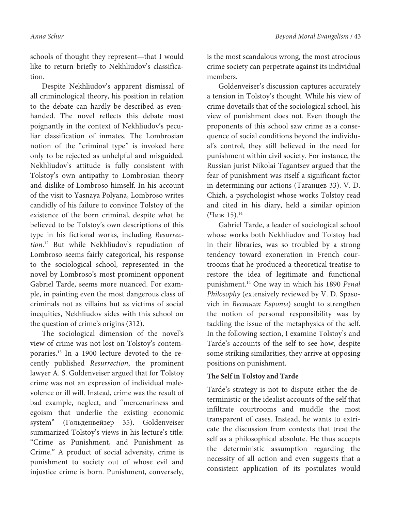schools of thought they represent—that I would like to return briefly to Nekhliudov's classification.

Despite Nekhliudov's apparent dismissal of all criminological theory, his position in relation to the debate can hardly be described as evenhanded. The novel reflects this debate most poignantly in the context of Nekhliudov's peculiar classification of inmates. The Lombrosian notion of the "criminal type" is invoked here only to be rejected as unhelpful and misguided. Nekhliudov's attitude is fully consistent with Tolstoy's own antipathy to Lombrosian theory and dislike of Lombroso himself. In his account of the visit to Yasnaya Polyana, Lombroso writes candidly of his failure to convince Tolstoy of the existence of the born criminal, despite what he believed to be Tolstoy's own descriptions of this type in his fictional works, including Resurrection. <sup>12</sup> But while Nekhliudov's repudiation of Lombroso seems fairly categorical, his response to the sociological school, represented in the novel by Lombroso's most prominent opponent Gabriel Tarde, seems more nuanced. For example, in painting even the most dangerous class of criminals not as villains but as victims of social inequities, Nekhliudov sides with this school on the question of crime's origins (312).

The sociological dimension of the novel's view of crime was not lost on Tolstoy's contemporaries.13 In a 1900 lecture devoted to the recently published Resurrection, the prominent lawyer A. S. Goldenveiser argued that for Tolstoy crime was not an expression of individual malevolence or ill will. Instead, crime was the result of bad example, neglect, and "mercenariness and egoism that underlie the existing economic system" (Гольденвейзер 35). Goldenveiser summarized Tolstoy's views in his lecture's title: "Crime as Punishment, and Punishment as Crime." A product of social adversity, crime is punishment to society out of whose evil and injustice crime is born. Punishment, conversely,

is the most scandalous wrong, the most atrocious crime society can perpetrate against its individual members.

Goldenveiser's discussion captures accurately a tension in Tolstoy's thought. While his view of crime dovetails that of the sociological school, his view of punishment does not. Even though the proponents of this school saw crime as a consequence of social conditions beyond the individual's control, they still believed in the need for punishment within civil society. For instance, the Russian jurist Nikolai Tagantsev argued that the fear of punishment was itself a significant factor in determining our actions (Таганцев 33). V. D. Chizh, a psychologist whose works Tolstoy read and cited in his diary, held a similar opinion (Чиж 15). $^{14}$ 

Gabriel Tarde, a leader of sociological school whose works both Nekhliudov and Tolstoy had in their libraries, was so troubled by a strong tendency toward exoneration in French courtrooms that he produced a theoretical treatise to restore the idea of legitimate and functional punishment.<sup>14</sup> One way in which his 1890 Penal Philosophy (extensively reviewed by V. D. Spasovich in Вестник Европы) sought to strengthen the notion of personal responsibility was by tackling the issue of the metaphysics of the self. In the following section, I examine Tolstoy's and Tarde's accounts of the self to see how, despite some striking similarities, they arrive at opposing positions on punishment.

# **The Self in Tolstoy and Tarde**

Tarde's strategy is not to dispute either the deterministic or the idealist accounts of the self that infiltrate courtrooms and muddle the most transparent of cases. Instead, he wants to extricate the discussion from contexts that treat the self as a philosophical absolute. He thus accepts the deterministic assumption regarding the necessity of all action and even suggests that a consistent application of its postulates would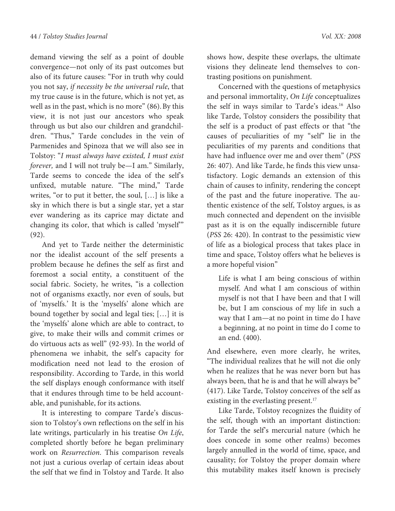demand viewing the self as a point of double convergence—not only of its past outcomes but also of its future causes: "For in truth why could you not say, if necessity be the universal rule, that my true cause is in the future, which is not yet, as well as in the past, which is no more" (86).By this view, it is not just our ancestors who speak through us but also our children and grandchildren. "Thus," Tarde concludes in the vein of Parmenides and Spinoza that we will also see in Tolstoy: "I must always have existed, I must exist forever, and I will not truly be—I am." Similarly, Tarde seems to concede the idea of the self's unfixed, mutable nature. "The mind," Tarde writes, "or to put it better, the soul, […] is like a sky in which there is but a single star, yet a star ever wandering as its caprice may dictate and changing its color, that which is called 'myself'" (92).

And yet to Tarde neither the deterministic nor the idealist account of the self presents a problem because he defines the self as first and foremost a social entity, a constituent of the social fabric. Society, he writes, "is a collection not of organisms exactly, nor even of souls, but of 'myselfs.' It is the 'myselfs' alone which are bound together by social and legal ties; […] it is the 'myselfs' alone which are able to contract, to give, to make their wills and commit crimes or do virtuous acts as well" (92-93). In the world of phenomena we inhabit, the self's capacity for modification need not lead to the erosion of responsibility. According to Tarde, in this world the self displays enough conformance with itself that it endures through time to be held accountable, and punishable, for its actions.

It is interesting to compare Tarde's discussion to Tolstoy's own reflections on the self in his late writings, particularly in his treatise On Life, completed shortly before he began preliminary work on Resurrection. This comparison reveals not just a curious overlap of certain ideas about the self that we find in Tolstoy and Tarde. It also

shows how, despite these overlaps, the ultimate visions they delineate lend themselves to contrasting positions on punishment.

Concerned with the questions of metaphysics and personal immortality, On Life conceptualizes the self in ways similar to Tarde's ideas.<sup>16</sup> Also like Tarde, Tolstoy considers the possibility that the self is a product of past effects or that "the causes of peculiarities of my "self" lie in the peculiarities of my parents and conditions that have had influence over me and over them" (PSS 26: 407). And like Tarde, he finds this view unsatisfactory. Logic demands an extension of this chain of causes to infinity, rendering the concept of the past and the future inoperative. The authentic existence of the self, Tolstoy argues, is as much connected and dependent on the invisible past as it is on the equally indiscernible future (PSS 26: 420). In contrast to the pessimistic view of life as a biological process that takes place in time and space, Tolstoy offers what he believes is a more hopeful vision"

Life is what I am being conscious of within myself. And what I am conscious of within myself is not that I have been and that I will be, but I am conscious of my life in such a way that I am—at no point in time do I have a beginning, at no point in time do I come to an end. (400).

And elsewhere, even more clearly, he writes, "The individual realizes that he will not die only when he realizes that he was never born but has always been, that he is and that he will always be" (417). Like Tarde, Tolstoy conceives of the self as existing in the everlasting present.<sup>17</sup>

Like Tarde, Tolstoy recognizes the fluidity of the self, though with an important distinction: for Tarde the self's mercurial nature (which he does concede in some other realms) becomes largely annulled in the world of time, space, and causality; for Tolstoy the proper domain where this mutability makes itself known is precisely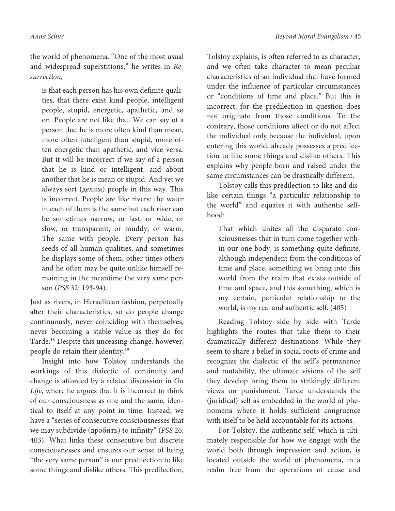the world of phenomena. "One of the most usual and widespread superstitions," he writes in Resurrection,

is that each person has his own definite qualities, that there exist kind people, intelligent people, stupid, energetic, apathetic, and so on. People are not like that. We can say of a person that he is more often kind than mean, more often intelligent than stupid, more often energetic than apathetic, and vice versa. But it will be incorrect if we say of a person that he is kind or intelligent, and about another that he is mean or stupid. And yet we always sort (делим) people in this way. This is incorrect. People are like rivers: the water in each of them is the same but each river can be sometimes narrow, or fast, or wide, or slow, or transparent, or muddy, or warm. The same with people. Every person has seeds of all human qualities, and sometimes he displays some of them, other times others and he often may be quite unlike himself remaining in the meantime the very same person (PSS 32: 193-94).

Just as rivers, in Heraclitean fashion, perpetually alter their characteristics, so do people change continuously, never coinciding with themselves, never becoming a stable value as they do for Tarde.<sup>18</sup> Despite this unceasing change, however, people do retain their identity.<sup>19</sup>

Insight into how Tolstoy understands the workings of this dialectic of continuity and change is afforded by a related discussion in On Life, where he argues that it is incorrect to think of our consciousness as one and the same, identical to itself at any point in time. Instead, we have a "series of consecutive consciousnesses that we may subdivide (дробить) to infinity" (PSS 26: 403). What links these consecutive but discrete consciousnesses and ensures our sense of being "the very same person" is our predilection to like some things and dislike others. This predilection,

Tolstoy explains, is often referred to as character, and we often take character to mean peculiar characteristics of an individual that have formed under the influence of particular circumstances or "conditions of time and place." But this is incorrect, for the predilection in question does not originate from those conditions. To the contrary, those conditions affect or do not affect the individual only because the individual, upon entering this world, already possesses a predilection to like some things and dislike others. This explains why people born and raised under the same circumstances can be drastically different.

Tolstoy calls this predilection to like and dislike certain things "a particular relationship to the world" and equates it with authentic selfhood:

That which unites all the disparate consciousnesses that in turn come together within our one body, is something quite definite, although independent from the conditions of time and place, something we bring into this world from the realm that exists outside of time and space, and this something, which is my certain, particular relationship to the world, is my real and authentic self. (405)

Reading Tolstoy side by side with Tarde highlights the routes that take them to their dramatically different destinations. While they seem to share a belief in social roots of crime and recognize the dialectic of the self's permanence and mutability, the ultimate visions of the self they develop bring them to strikingly different views on punishment. Tarde understands the (juridical) self as embedded in the world of phenomena where it holds sufficient congruence with itself to be held accountable for its actions.

For Tolstoy, the authentic self, which is ultimately responsible for how we engage with the world both through impression and action, is located outside the world of phenomena, in a realm free from the operations of cause and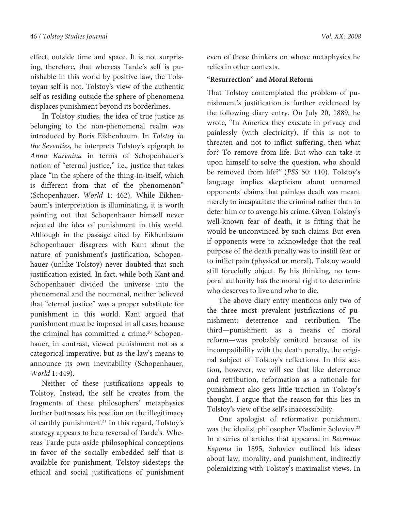effect, outside time and space. It is not surprising, therefore, that whereas Tarde's self is punishable in this world by positive law, the Tolstoyan self is not. Tolstoy's view of the authentic self as residing outside the sphere of phenomena displaces punishment beyond its borderlines.

In Tolstoy studies, the idea of true justice as belonging to the non-phenomenal realm was introduced by Boris Eikhenbaum. In Tolstoy in the Seventies, he interprets Tolstoy's epigraph to Anna Karenina in terms of Schopenhauer's notion of "eternal justice," i.e., justice that takes place "in the sphere of the thing-in-itself, which is different from that of the phenomenon" (Schopenhauer, World 1: 462). While Eikhenbaum's interpretation is illuminating, it is worth pointing out that Schopenhauer himself never rejected the idea of punishment in this world. Although in the passage cited by Eikhenbaum Schopenhauer disagrees with Kant about the nature of punishment's justification, Schopenhauer (unlike Tolstoy) never doubted that such justification existed. In fact, while both Kant and Schopenhauer divided the universe into the phenomenal and the noumenal, neither believed that "eternal justice" was a proper substitute for punishment in this world. Kant argued that punishment must be imposed in all cases because the criminal has committed a crime.<sup>20</sup> Schopenhauer, in contrast, viewed punishment not as a categorical imperative, but as the law's means to announce its own inevitability (Schopenhauer, World 1: 449).

Neither of these justifications appeals to Tolstoy. Instead, the self he creates from the fragments of these philosophers' metaphysics further buttresses his position on the illegitimacy of earthly punishment.<sup>21</sup> In this regard, Tolstoy's strategy appears to be a reversal of Tarde's. Whereas Tarde puts aside philosophical conceptions in favor of the socially embedded self that is available for punishment, Tolstoy sidesteps the ethical and social justifications of punishment even of those thinkers on whose metaphysics he relies in other contexts.

## **"Resurrection" and Moral Reform**

That Tolstoy contemplated the problem of punishment's justification is further evidenced by the following diary entry. On July 20, 1889, he wrote, "In America they execute in privacy and painlessly (with electricity). If this is not to threaten and not to inflict suffering, then what for? To remove from life. But who can take it upon himself to solve the question, who should be removed from life?" (PSS 50: 110). Tolstoy's language implies skepticism about unnamed opponents' claims that painless death was meant merely to incapacitate the criminal rather than to deter him or to avenge his crime. Given Tolstoy's well-known fear of death, it is fitting that he would be unconvinced by such claims. But even if opponents were to acknowledge that the real purpose of the death penalty was to instill fear or to inflict pain (physical or moral), Tolstoy would still forcefully object. By his thinking, no temporal authority has the moral right to determine who deserves to live and who to die.

The above diary entry mentions only two of the three most prevalent justifications of punishment: deterrence and retribution. The third—punishment as a means of moral reform—was probably omitted because of its incompatibility with the death penalty, the original subject of Tolstoy's reflections. In this section, however, we will see that like deterrence and retribution, reformation as a rationale for punishment also gets little traction in Tolstoy's thought. I argue that the reason for this lies in Tolstoy's view of the self's inaccessibility.

One apologist of reformative punishment was the idealist philosopher Vladimir Soloviev.<sup>22</sup> In a series of articles that appeared in Вестник Европы in 1895, Soloviev outlined his ideas about law, morality, and punishment, indirectly polemicizing with Tolstoy's maximalist views. In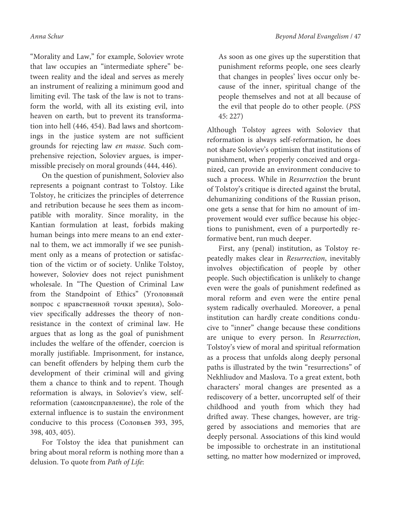"Morality and Law," for example, Soloviev wrote that law occupies an "intermediate sphere" between reality and the ideal and serves as merely an instrument of realizing a minimum good and limiting evil. The task of the law is not to transform the world, with all its existing evil, into heaven on earth, but to prevent its transformation into hell (446, 454). Bad laws and shortcomings in the justice system are not sufficient grounds for rejecting law en masse. Such comprehensive rejection, Soloviev argues, is impermissible precisely on moral grounds (444, 446).

On the question of punishment, Soloviev also represents a poignant contrast to Tolstoy. Like Tolstoy, he criticizes the principles of deterrence and retribution because he sees them as incompatible with morality. Since morality, in the Kantian formulation at least, forbids making human beings into mere means to an end external to them, we act immorally if we see punishment only as a means of protection or satisfaction of the victim or of society. Unlike Tolstoy, however, Soloviev does not reject punishment wholesale. In "The Question of Criminal Law from the Standpoint of Ethics" (Уголовный вопрос с нравственной точки зрения), Soloviev specifically addresses the theory of nonresistance in the context of criminal law. He argues that as long as the goal of punishment includes the welfare of the offender, coercion is morally justifiable. Imprisonment, for instance, can benefit offenders by helping them curb the development of their criminal will and giving them a chance to think and to repent. Though reformation is always, in Soloviev's view, selfreformation (самоисправление), the role of the external influence is to sustain the environment conducive to this process (Соловьев 393, 395, 398, 403, 405).

For Tolstoy the idea that punishment can bring about moral reform is nothing more than a delusion. To quote from Path of Life:

As soon as one gives up the superstition that punishment reforms people, one sees clearly that changes in peoples' lives occur only because of the inner, spiritual change of the people themselves and not at all because of the evil that people do to other people. (PSS 45: 227)

Although Tolstoy agrees with Soloviev that reformation is always self-reformation, he does not share Soloviev's optimism that institutions of punishment, when properly conceived and organized, can provide an environment conducive to such a process. While in Resurrection the brunt of Tolstoy's critique is directed against the brutal, dehumanizing conditions of the Russian prison, one gets a sense that for him no amount of improvement would ever suffice because his objections to punishment, even of a purportedly reformative bent, run much deeper.

First, any (penal) institution, as Tolstoy repeatedly makes clear in Resurrection, inevitably involves objectification of people by other people. Such objectification is unlikely to change even were the goals of punishment redefined as moral reform and even were the entire penal system radically overhauled. Moreover, a penal institution can hardly create conditions conducive to "inner" change because these conditions are unique to every person. In Resurrection, Tolstoy's view of moral and spiritual reformation as a process that unfolds along deeply personal paths is illustrated by the twin "resurrections" of Nekhliudov and Maslova. To a great extent, both characters' moral changes are presented as a rediscovery of a better, uncorrupted self of their childhood and youth from which they had drifted away. These changes, however, are triggered by associations and memories that are deeply personal. Associations of this kind would be impossible to orchestrate in an institutional setting, no matter how modernized or improved,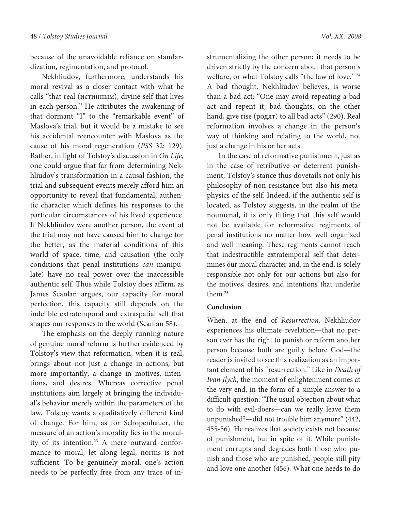because of the unavoidable reliance on standardization, regimentation, and protocol.

Nekhliudov, furthermore, understands his moral revival as a closer contact with what he calls "that real (истинным), divine self that lives in each person." He attributes the awakening of that dormant "I" to the "remarkable event" of Maslova's trial, but it would be a mistake to see his accidental reencounter with Maslova as the cause of his moral regeneration (PSS 32: 129). Rather, in light of Tolstoy's discussion in On Life, one could argue that far from determining Nekhliudov's transformation in a causal fashion, the trial and subsequent events merely afford him an opportunity to reveal that fundamental, authentic character which defines his responses to the particular circumstances of his lived experience. If Nekhliudov were another person, the event of the trial may not have caused him to change for the better, as the material conditions of this world of space, time, and causation (the only conditions that penal institutions can manipulate) have no real power over the inaccessible authentic self. Thus while Tolstoy does affirm, as James Scanlan argues, our capacity for moral perfection, this capacity still depends on the indelible extratemporal and extraspatial self that shapes our responses to the world (Scanlan 58).

The emphasis on the deeply running nature of genuine moral reform is further evidenced by Tolstoy's view that reformation, when it is real, brings about not just a change in actions, but more importantly, a change in motives, intentions, and desires. Whereas corrective penal institutions aim largely at bringing the individual's behavior merely within the parameters of the law, Tolstoy wants a qualitatively different kind of change. For him, as for Schopenhauer, the measure of an action's morality lies in the morality of its intention.<sup>23</sup> A mere outward conformance to moral, let along legal, norms is not sufficient. To be genuinely moral, one's action needs to be perfectly free from any trace of in-

strumentalizing the other person; it needs to be driven strictly by the concern about that person's welfare, or what Tolstoy calls "the law of love." <sup>24</sup> A bad thought, Nekhliudov believes, is worse than a bad act: "One may avoid repeating a bad act and repent it; bad thoughts, on the other hand, give rise (родят) to all bad acts" (290). Real reformation involves a change in the person's way of thinking and relating to the world, not just a change in his or her acts.

In the case of reformative punishment, just as in the case of retributive or deterrent punishment, Tolstoy's stance thus dovetails not only his philosophy of non-resistance but also his metaphysics of the self. Indeed, if the authentic self is located, as Tolstoy suggests, in the realm of the noumenal, it is only fitting that this self would not be available for reformative regiments of penal institutions no matter how well organized and well meaning. These regiments cannot reach that indestructible extratemporal self that determines our moral character and, in the end, is solely responsible not only for our actions but also for the motives, desires, and intentions that underlie them.<sup>25</sup>

# **Conclusion**

When, at the end of Resurrection, Nekhliudov experiences his ultimate revelation—that no person ever has the right to punish or reform another person because both are guilty before God—the reader is invited to see this realization as an important element of his "resurrection." Like in Death of Ivan Ilych, the moment of enlightenment comes at the very end, in the form of a simple answer to a difficult question: "The usual objection about what to do with evil-doers—can we really leave them unpunished?—did not trouble him anymore" (442, 455-56). He realizes that society exists not because of punishment, but in spite of it. While punishment corrupts and degrades both those who punish and those who are punished, people still pity and love one another (456). What one needs to do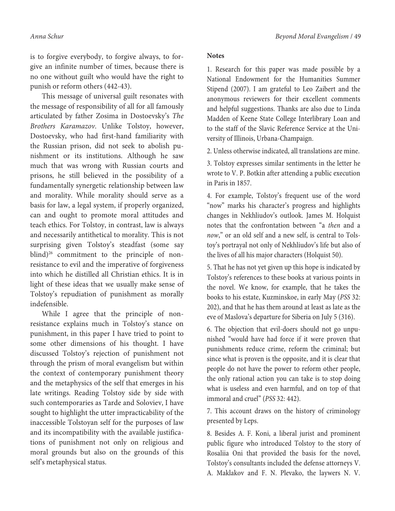is to forgive everybody, to forgive always, to forgive an infinite number of times, because there is no one without guilt who would have the right to punish or reform others (442-43).

This message of universal guilt resonates with the message of responsibility of all for all famously articulated by father Zosima in Dostoevsky's The Brothers Karamazov. Unlike Tolstoy, however, Dostoevsky, who had first-hand familiarity with the Russian prison, did not seek to abolish punishment or its institutions. Although he saw much that was wrong with Russian courts and prisons, he still believed in the possibility of a fundamentally synergetic relationship between law and morality. While morality should serve as a basis for law, a legal system, if properly organized, can and ought to promote moral attitudes and teach ethics. For Tolstoy, in contrast, law is always and necessarily antithetical to morality. This is not surprising given Tolstoy's steadfast (some say blind)<sup>26</sup> commitment to the principle of nonresistance to evil and the imperative of forgiveness into which he distilled all Christian ethics. It is in light of these ideas that we usually make sense of Tolstoy's repudiation of punishment as morally indefensible.

While I agree that the principle of nonresistance explains much in Tolstoy's stance on punishment, in this paper I have tried to point to some other dimensions of his thought. I have discussed Tolstoy's rejection of punishment not through the prism of moral evangelism but within the context of contemporary punishment theory and the metaphysics of the self that emerges in his late writings. Reading Tolstoy side by side with such contemporaries as Tarde and Soloviev, I have sought to highlight the utter impracticability of the inaccessible Tolstoyan self for the purposes of law and its incompatibility with the available justifications of punishment not only on religious and moral grounds but also on the grounds of this self's metaphysical status.

### **Notes**

1. Research for this paper was made possible by a National Endowment for the Humanities Summer Stipend (2007). I am grateful to Leo Zaibert and the anonymous reviewers for their excellent comments and helpful suggestions. Thanks are also due to Linda Madden of Keene State College Interlibrary Loan and to the staff of the Slavic Reference Service at the University of Illinois, Urbana-Champaign.

2. Unless otherwise indicated, all translations are mine.

3. Tolstoy expresses similar sentiments in the letter he wrote to V. P. Botkin after attending a public execution in Paris in 1857.

4. For example, Tolstoy's frequent use of the word "now" marks his character's progress and highlights changes in Nekhliudov's outlook. James M. Holquist notes that the confrontation between "a then and a now," or an old self and a new self, is central to Tolstoy's portrayal not only of Nekhliudov's life but also of the lives of all his major characters (Holquist 50).

5. That he has not yet given up this hope is indicated by Tolstoy's references to these books at various points in the novel. We know, for example, that he takes the books to his estate, Kuzminskoe, in early May (PSS 32: 202), and that he has them around at least as late as the eve of Maslova's departure for Siberia on July 5 (316).

6. The objection that evil-doers should not go unpunished "would have had force if it were proven that punishments reduce crime, reform the criminal; but since what is proven is the opposite, and it is clear that people do not have the power to reform other people, the only rational action you can take is to stop doing what is useless and even harmful, and on top of that immoral and cruel" (PSS 32: 442).

7. This account draws on the history of criminology presented by Leps.

8. Besides A. F. Koni, a liberal jurist and prominent public figure who introduced Tolstoy to the story of Rosaliia Oni that provided the basis for the novel, Tolstoy's consultants included the defense attorneys V. A. Maklakov and F. N. Plevako, the laywers N. V.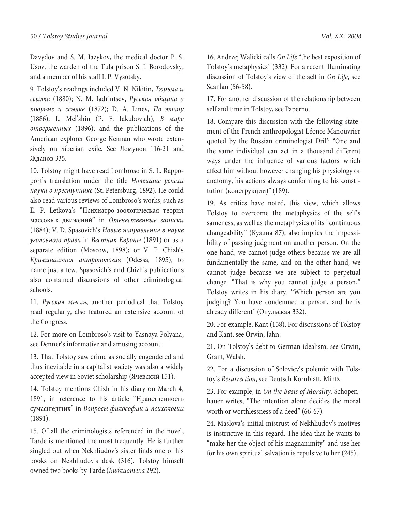Davydov and S. M. Iazykov, the medical doctor P. S. Usov, the warden of the Tula prison S. I. Borodovsky, and a member of his staff I. P. Vysotsky.

9. Tolstoy's readings included V. N. Nikitin, Тюрьма и ссылка (1880); N. M. Iadrintsev, Русская община в тюрьме и ссылке (1872); D. A. Linev, По этапу (1886); L. Mel'shin (P. F. Iakubovich), В мире отверженных (1896); and the publications of the American explorer George Kennan who wrote extensively on Siberian exile. See Ломунов 116-21 and Жданов 335.

10. Tolstoy might have read Lombroso in S. L. Rappoport's translation under the title Новейшие успехи науки о преступнике (St. Petersburg, 1892). He could also read various reviews of Lombroso's works, such as E. P. Letkova's "Психиатро-зоологическая теория массовых движений" in Отечественные записки (1884); V. D. Spasovich's Новые направления в науке уголовного права in Вестник Европы (1891) or as a separate edition (Moscow, 1898); or V. F. Chizh's Криминальная антропология (Odessa, 1895), to name just a few. Spasovich's and Chizh's publications also contained discussions of other criminological schools.

11. Русская мысль, another periodical that Tolstoy read regularly, also featured an extensive account of the Congress.

12. For more on Lombroso's visit to Yasnaya Polyana, see Denner's informative and amusing account.

13. That Tolstoy saw crime as socially engendered and thus inevitable in a capitalist society was also a widely accepted view in Soviet scholarship (Ячевский 151).

14. Tolstoy mentions Chizh in his diary on March 4, 1891, in reference to his article "Нравственность сумасшедших" in Вопросы философии и психологии (1891).

15. Of all the criminologists referenced in the novel, Tarde is mentioned the most frequently. He is further singled out when Nekhliudov's sister finds one of his books on Nekhliudov's desk (316). Tolstoy himself owned two books by Tarde (Библиотека 292).

16. Andrzej Walicki calls On Life "the best exposition of Tolstoy's metaphysics" (332). For a recent illuminating discussion of Tolstoy's view of the self in On Life, see Scanlan (56-58).

17. For another discussion of the relationship between self and time in Tolstoy, see Paperno.

18. Compare this discussion with the following statement of the French anthropologist Léonce Manouvrier quoted by the Russian criminologist Dril': "One and the same individual can act in a thousand different ways under the influence of various factors which affect him without however changing his physiology or anatomy, his actions always conforming to his constitution (конструкции)" (189).

19. As critics have noted, this view, which allows Tolstoy to overcome the metaphysics of the self's sameness, as well as the metaphysics of its "continuous changeability" (Кузина 87), also implies the impossibility of passing judgment on another person. On the one hand, we cannot judge others because we are all fundamentally the same, and on the other hand, we cannot judge because we are subject to perpetual change. "That is why you cannot judge a person," Tolstoy writes in his diary. "Which person are you judging? You have condemned a person, and he is already different" (Опульская 332).

20. For example, Kant (158). For discussions of Tolstoy and Kant, see Orwin, Jahn.

21. On Tolstoy's debt to German idealism, see Orwin, Grant, Walsh.

22. For a discussion of Soloviev's polemic with Tolstoy's Resurrection, see Deutsch Kornblatt, Mintz.

23. For example, in On the Basis of Morality, Schopenhauer writes, "The intention alone decides the moral worth or worthlessness of a deed" (66-67).

24. Maslova's initial mistrust of Nekhliudov's motives is instructive in this regard. The idea that he wants to "make her the object of his magnanimity" and use her for his own spiritual salvation is repulsive to her (245).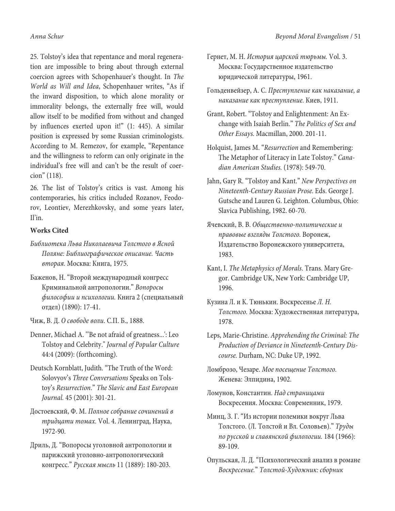25. Tolstoy's idea that repentance and moral regeneration are impossible to bring about through external coercion agrees with Schopenhauer's thought. In The World as Will and Idea, Schopenhauer writes, "As if the inward disposition, to which alone morality or immorality belongs, the externally free will, would allow itself to be modified from without and changed by influences exerted upon it!" (1: 445). A similar position is expressed by some Russian criminologists. According to M. Remezov, for example, "Repentance and the willingness to reform can only originate in the individual's free will and can't be the result of coercion" (118).

26. The list of Tolstoy's critics is vast. Among his contemporaries, his critics included Rozanov, Feodorov, Leontiev, Merezhkovsky, and some years later, Il'in.

# **Works Cited**

- Библиотека Льва Николаевича Толстого в Ясной Поляне: Библиографическое описание. Часть вторая. Москва: Книга, 1975.
- Баженов, Н. "Второй международный конгресс Криминальной антропологии." Вопоросы философии и психологии. Книга 2 (специальный отдел) (1890): 17-41.

Чиж, В. Д. О свободе воли. С.П. Б., 1888.

- Denner, Michael A. "'Be not afraid of greatness...': Leo Tolstoy and Celebrity." Journal of Popular Culture 44:4 (2009): (forthcoming).
- Deutsch Kornblatt, Judith. "The Truth of the Word: Solovyov's Three Conversations Speaks on Tolstoy's Resurrection." The Slavic and East European Journal. 45 (2001): 301-21.
- Достоевский, Ф. М. Полное собрание сочинений в тридцати томах. Vol. 4. Ленинград, Наука, 1972-90.
- Дриль, Д. "Вопоросы уголовной антропологии и парижский уголовно-антропологический конгресс." Русская мысль 11 (1889): 180-203.
- Гернет, М. Н. История царской тюрьмы. Vol. 3. Москва: Государственное издательство юридической литературы, 1961.
- Гольденвейзер, А. С. Преступление как наказание, а наказание как преступление. Киев, 1911.
- Grant, Robert. "Tolstoy and Enlightenment: An Exchange with Isaiah Berlin." The Politics of Sex and Other Essays. Macmillan, 2000. 201-11.
- Holquist, James M. "Resurrection and Remembering: The Metaphor of Literacy in Late Tolstoy." Canadian American Studies. (1978): 549-70.
- Jahn, Gary R. "Tolstoy and Kant." New Perspectives on Nineteenth-Century Russian Prose. Eds. George J. Gutsche and Lauren G. Leighton. Columbus, Ohio: Slavica Publishing, 1982. 60-70.
- Ячевский, В. В. Общественно-политические и правовые взгляды Толстого. Воронеж, Издательство Воронежского университета, 1983.
- Kant, I. The Metaphysics of Morals. Trans. Mary Gregor. Cambridge UK, New York: Cambridge UP, 1996.
- Кузина Л. и К. Тюнькин. Воскресенье Л. Н. Толстого. Москва: Художественная литература, 1978.
- Leps, Marie-Christine. Apprehending the Criminal: The Production of Deviance in Nineteenth-Century Discourse. Durham, NC: Duke UP, 1992.
- Ломброзо, Чезаре. Мое посещение Толстого. Женева: Элпидина, 1902.

Ломунов, Константин. Над страницами Воскресения. Москва: Современник, 1979.

- Минц, З. Г. "Из истории полемики вокруг Льва Толстого. (Л. Толстой и Вл. Соловьев)." Труды по русской и славянской филологии. 184 (1966): 89-109.
- Опульская, Л. Д. "Психологический анализ в романе Воскресение." Толстой-Художник: сборник